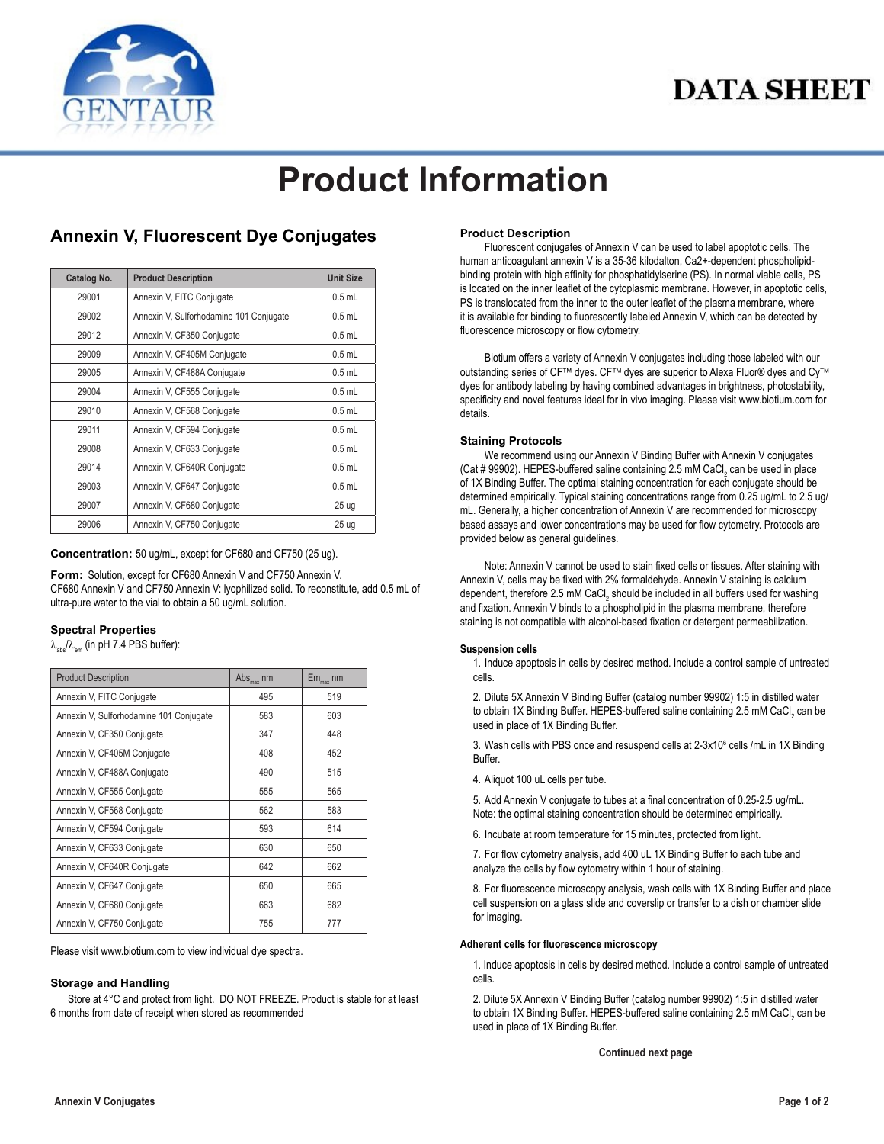

## **DATA SHEET**

# **Product Information**

### **Annexin V, Fluorescent Dye Conjugates**

| Catalog No. | <b>Product Description</b>              | <b>Unit Size</b> |
|-------------|-----------------------------------------|------------------|
| 29001       | Annexin V, FITC Conjugate               | $0.5$ mL         |
| 29002       | Annexin V, Sulforhodamine 101 Conjugate | $0.5$ mL         |
| 29012       | Annexin V, CF350 Conjugate              | $0.5$ mL         |
| 29009       | Annexin V, CF405M Conjugate             | $0.5$ mL         |
| 29005       | Annexin V, CF488A Conjugate             | $0.5$ mL         |
| 29004       | Annexin V, CF555 Conjugate              | $0.5$ mL         |
| 29010       | Annexin V, CF568 Conjugate              | $0.5$ mL         |
| 29011       | Annexin V, CF594 Conjugate              | $0.5$ mL         |
| 29008       | Annexin V, CF633 Conjugate              | $0.5$ mL         |
| 29014       | Annexin V, CF640R Conjugate             | $0.5$ mL         |
| 29003       | Annexin V, CF647 Conjugate              | $0.5$ mL         |
| 29007       | Annexin V, CF680 Conjugate              | 25 <sub>uq</sub> |
| 29006       | Annexin V, CF750 Conjugate              | 25 <sub>uq</sub> |

**Concentration:** 50 ug/mL, except for CF680 and CF750 (25 ug).

**Form:** Solution, except for CF680 Annexin V and CF750 Annexin V. CF680 Annexin V and CF750 Annexin V: lyophilized solid. To reconstitute, add 0.5 mL of ultra-pure water to the vial to obtain a 50 ug/mL solution.

#### **Spectral Properties**

 $\lambda_{\text{abs}}/\lambda_{\text{em}}$  (in pH 7.4 PBS buffer):

| <b>Product Description</b>              | $\mathrm{Abs}_{\mathrm{max}}$ nm | $Em_{max}$ nm |
|-----------------------------------------|----------------------------------|---------------|
| Annexin V, FITC Conjugate               | 495                              | 519           |
| Annexin V, Sulforhodamine 101 Conjugate | 583                              | 603           |
| Annexin V, CF350 Conjugate              | 347                              | 448           |
| Annexin V, CF405M Conjugate             | 408                              | 452           |
| Annexin V, CF488A Conjugate             | 490                              | 515           |
| Annexin V, CF555 Conjugate              | 555                              | 565           |
| Annexin V, CF568 Conjugate              | 562                              | 583           |
| Annexin V, CF594 Conjugate              | 593                              | 614           |
| Annexin V, CF633 Conjugate              | 630                              | 650           |
| Annexin V, CF640R Conjugate             | 642                              | 662           |
| Annexin V, CF647 Conjugate              | 650                              | 665           |
| Annexin V, CF680 Conjugate              | 663                              | 682           |
| Annexin V, CF750 Conjugate              | 755                              | 777           |

Please visit www.biotium.com to view individual dye spectra.

#### **Storage and Handling**

Store at 4°C and protect from light. DO NOT FREEZE. Product is stable for at least 6 months from date of receipt when stored as recommended

#### **Product Description**

Fluorescent conjugates of Annexin V can be used to label apoptotic cells. The human anticoagulant annexin V is a 35-36 kilodalton, Ca2+-dependent phospholipidbinding protein with high affinity for phosphatidylserine (PS). In normal viable cells, PS is located on the inner leaflet of the cytoplasmic membrane. However, in apoptotic cells, PS is translocated from the inner to the outer leaflet of the plasma membrane, where it is available for binding to fluorescently labeled Annexin V, which can be detected by fluorescence microscopy or flow cytometry.

Biotium offers a variety of Annexin V conjugates including those labeled with our outstanding series of CF™ dyes. CF™ dyes are superior to Alexa Fluor® dyes and Cy™ dyes for antibody labeling by having combined advantages in brightness, photostability, specificity and novel features ideal for in vivo imaging. Please visit www.biotium.com for details.

#### **Staining Protocols**

We recommend using our Annexin V Binding Buffer with Annexin V conjugates (Cat # 99902). HEPES-buffered saline containing 2.5 mM CaCl<sub>2</sub> can be used in place of 1X Binding Buffer. The optimal staining concentration for each conjugate should be determined empirically. Typical staining concentrations range from 0.25 ug/mL to 2.5 ug/ mL. Generally, a higher concentration of Annexin V are recommended for microscopy based assays and lower concentrations may be used for flow cytometry. Protocols are provided below as general guidelines.

Note: Annexin V cannot be used to stain fixed cells or tissues. After staining with Annexin V, cells may be fixed with 2% formaldehyde. Annexin V staining is calcium dependent, therefore 2.5 mM CaCl $_2$  should be included in all buffers used for washing and fixation. Annexin V binds to a phospholipid in the plasma membrane, therefore staining is not compatible with alcohol-based fixation or detergent permeabilization.

#### **Suspension cells**

1. Induce apoptosis in cells by desired method. Include a control sample of untreated cells.

2. Dilute 5X Annexin V Binding Buffer (catalog number 99902) 1:5 in distilled water to obtain 1X Binding Buffer. HEPES-buffered saline containing 2.5 mM CaCl $_2$  can be used in place of 1X Binding Buffer.

3. Wash cells with PBS once and resuspend cells at 2-3x10<sup>6</sup> cells /mL in 1X Binding Buffer.

4. Aliquot 100 uL cells per tube.

5. Add Annexin V conjugate to tubes at a final concentration of 0.25-2.5 ug/mL. Note: the optimal staining concentration should be determined empirically.

6. Incubate at room temperature for 15 minutes, protected from light.

7. For flow cytometry analysis, add 400 uL 1X Binding Buffer to each tube and analyze the cells by flow cytometry within 1 hour of staining.

8. For fluorescence microscopy analysis, wash cells with 1X Binding Buffer and place cell suspension on a glass slide and coverslip or transfer to a dish or chamber slide for imaging.

#### **Adherent cells for fluorescence microscopy**

1. Induce apoptosis in cells by desired method. Include a control sample of untreated cells.

2. Dilute 5X Annexin V Binding Buffer (catalog number 99902) 1:5 in distilled water to obtain 1X Binding Buffer. HEPES-buffered saline containing 2.5 mM CaCl $_2$  can be used in place of 1X Binding Buffer.

**Continued next page**